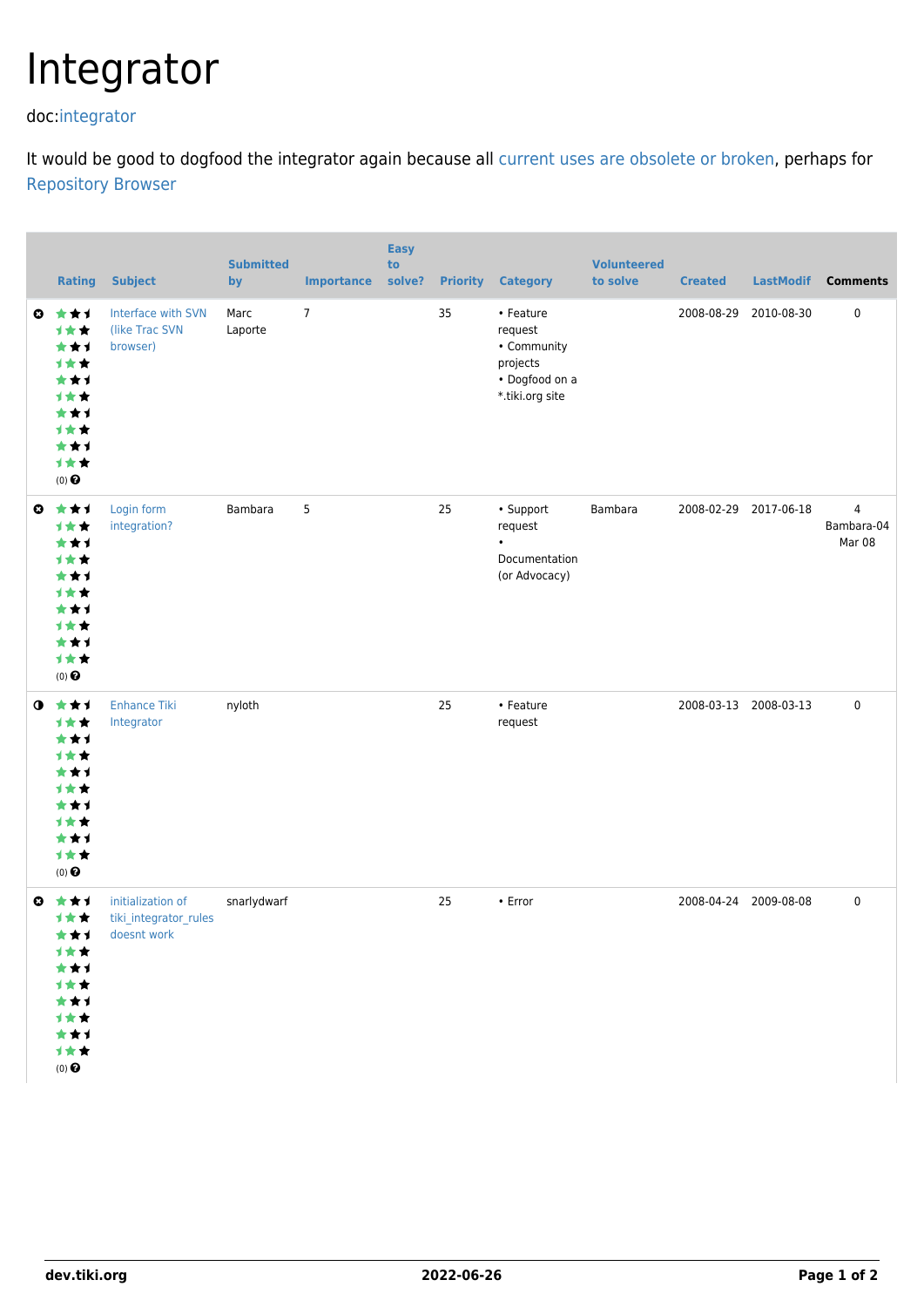## Integrator

doc[:integrator](http://doc.tiki.org/integrator)

It would be good to dogfood the integrator again because all [current uses are obsolete or broken](http://tiki.org/tiki-list_integrator_repositories.php), perhaps for [Repository Browser](https://dev.tiki.org/Repository-Browser)

|              | <b>Rating</b>                                                                                     | <b>Subject</b>                                            | <b>Submitted</b><br>by | <b>Importance</b> | <b>Easy</b><br>to<br>solve? | <b>Priority</b> | <b>Category</b>                                                                      | <b>Volunteered</b><br>to solve | <b>Created</b>        | <b>LastModif</b> | <b>Comments</b>           |
|--------------|---------------------------------------------------------------------------------------------------|-----------------------------------------------------------|------------------------|-------------------|-----------------------------|-----------------|--------------------------------------------------------------------------------------|--------------------------------|-----------------------|------------------|---------------------------|
| $\bullet$    | ***<br>计女女<br>★★1<br>计女女<br>***<br><b>1**</b><br>***<br>1★★<br>★★1<br>计女女<br>$(0)$ $\odot$        | Interface with SVN<br>(like Trac SVN<br>browser)          | Marc<br>Laporte        | $\overline{7}$    |                             | 35              | • Feature<br>request<br>• Community<br>projects<br>• Dogfood on a<br>*.tiki.org site |                                | 2008-08-29            | 2010-08-30       | 0                         |
| $\bullet$    | ***<br>计女女<br>***<br>1★★<br>***<br>1★★<br>***<br>计女女<br>★★1<br>计女女<br>$(0)$ $\pmb{\Theta}$        | Login form<br>integration?                                | Bambara                | 5                 |                             | 25              | • Support<br>request<br>Documentation<br>(or Advocacy)                               | Bambara                        | 2008-02-29 2017-06-18 |                  | 4<br>Bambara-04<br>Mar 08 |
| $\bullet$    | ***<br>计女女<br>***<br>1★★<br>***<br>1★★<br>***<br><b>1**</b><br>★★1<br>计女女<br>$(0)$ $\pmb{\Theta}$ | <b>Enhance Tiki</b><br>Integrator                         | nyloth                 |                   |                             | 25              | • Feature<br>request                                                                 |                                | 2008-03-13 2008-03-13 |                  | 0                         |
| $\mathbf{c}$ | ***<br>计女女<br>***<br>计女女<br>***<br>计女女<br>***<br>计女女<br>***<br>计女女<br>$(0)$ $\odot$               | initialization of<br>tiki_integrator_rules<br>doesnt work | snarlydwarf            |                   |                             | 25              | • Error                                                                              |                                | 2008-04-24 2009-08-08 |                  | 0                         |